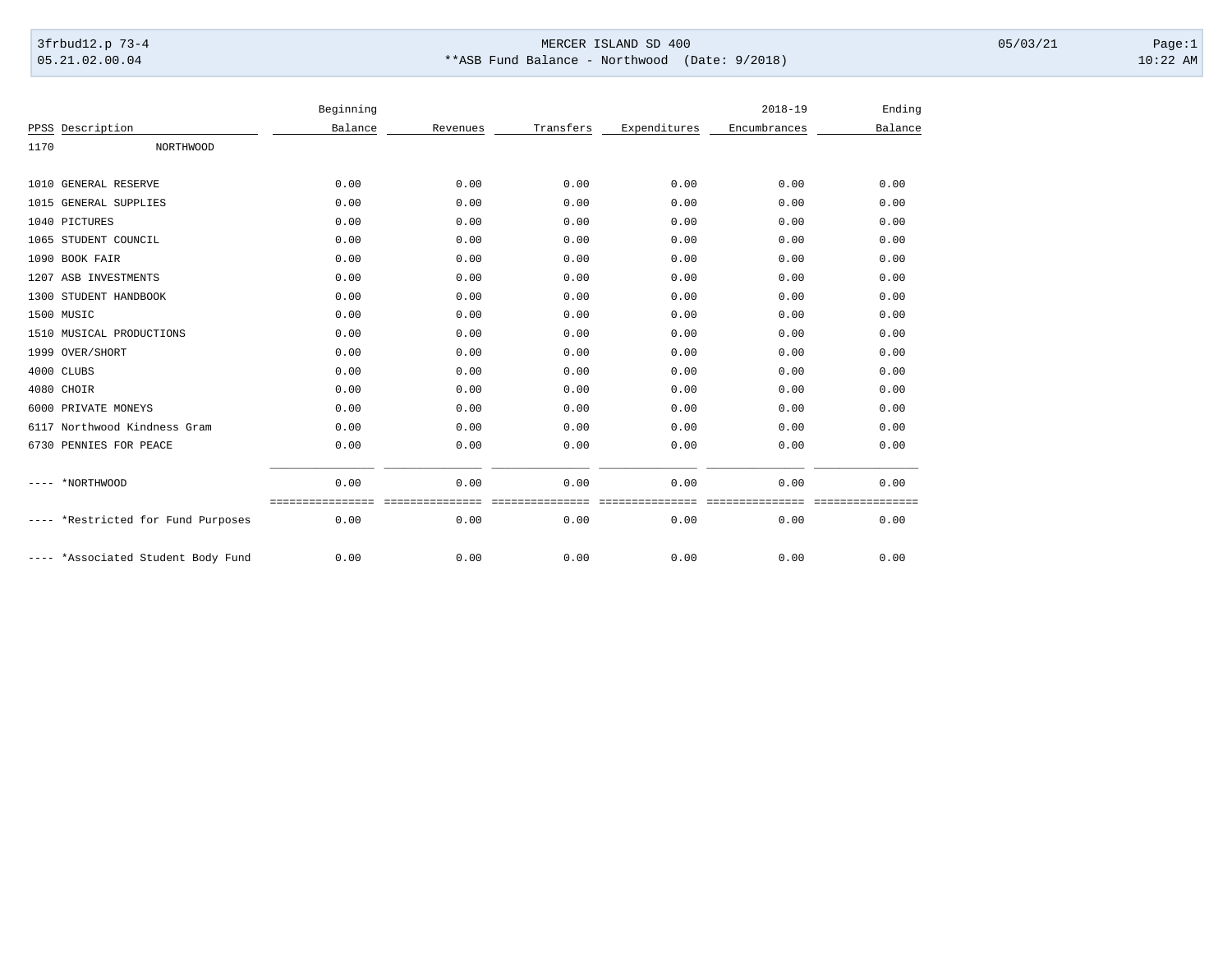## 3frbud12.p 73-4 Page:1 Page:1 05.21.02.00.04 \*\*ASB Fund Balance - Northwood (Date: 9/2018) 10:22 AM

|      |                               | Beginning |          |           |              | $2018 - 19$  | Ending          |
|------|-------------------------------|-----------|----------|-----------|--------------|--------------|-----------------|
| PPSS | Description                   | Balance   | Revenues | Transfers | Expenditures | Encumbrances | Balance         |
| 1170 | <b>NORTHWOOD</b>              |           |          |           |              |              |                 |
|      |                               |           |          |           |              |              |                 |
|      | 1010 GENERAL RESERVE          | 0.00      | 0.00     | 0.00      | 0.00         | 0.00         | 0.00            |
|      | 1015 GENERAL SUPPLIES         | 0.00      | 0.00     | 0.00      | 0.00         | 0.00         | 0.00            |
|      | 1040 PICTURES                 | 0.00      | 0.00     | 0.00      | 0.00         | 0.00         | 0.00            |
|      | 1065 STUDENT COUNCIL          | 0.00      | 0.00     | 0.00      | 0.00         | 0.00         | 0.00            |
|      | 1090 BOOK FAIR                | 0.00      | 0.00     | 0.00      | 0.00         | 0.00         | 0.00            |
|      | 1207 ASB INVESTMENTS          | 0.00      | 0.00     | 0.00      | 0.00         | 0.00         | 0.00            |
|      | 1300 STUDENT HANDBOOK         | 0.00      | 0.00     | 0.00      | 0.00         | 0.00         | 0.00            |
|      | 1500 MUSIC                    | 0.00      | 0.00     | 0.00      | 0.00         | 0.00         | 0.00            |
|      | 1510 MUSICAL PRODUCTIONS      | 0.00      | 0.00     | 0.00      | 0.00         | 0.00         | 0.00            |
|      | 1999 OVER/SHORT               | 0.00      | 0.00     | 0.00      | 0.00         | 0.00         | 0.00            |
|      | 4000 CLUBS                    | 0.00      | 0.00     | 0.00      | 0.00         | 0.00         | 0.00            |
|      | 4080 CHOIR                    | 0.00      | 0.00     | 0.00      | 0.00         | 0.00         | 0.00            |
|      | 6000 PRIVATE MONEYS           | 0.00      | 0.00     | 0.00      | 0.00         | 0.00         | 0.00            |
|      | 6117 Northwood Kindness Gram  | 0.00      | 0.00     | 0.00      | 0.00         | 0.00         | 0.00            |
|      | 6730 PENNIES FOR PEACE        | 0.00      | 0.00     | 0.00      | 0.00         | 0.00         | 0.00            |
|      | *NORTHWOOD                    | 0.00      | 0.00     | 0.00      | 0.00         | 0.00         | 0.00<br>======= |
|      | *Restricted for Fund Purposes | 0.00      | 0.00     | 0.00      | 0.00         | 0.00         | 0.00            |
|      | *Associated Student Body Fund | 0.00      | 0.00     | 0.00      | 0.00         | 0.00         | 0.00            |